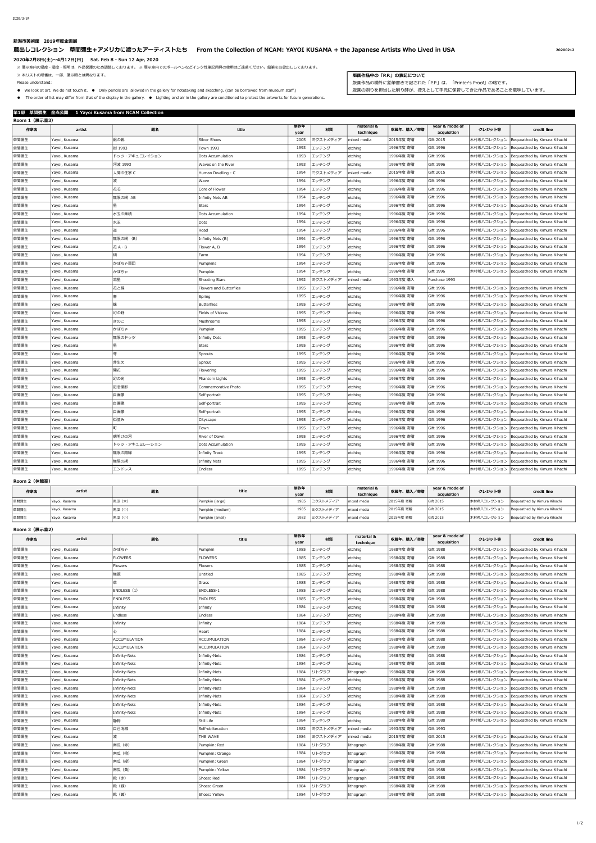# **新潟市美術館 2019年度企画展**

**蔵出しコレクション 草間彌生+アメリカに渡ったアーティストたち From the Collection of NCAM: YAYOI KUSAMA + the Japanese Artists Who Lived in USA <sup>20200212</sup>**

**2020年2月8日(土)~4月12日(日) Sat. Feb 8 - Sun 12 Apr, 2020** 

※ 展示室内の温度・湿度・照明は、作品保護のため調整しております。 ※ 展示室内でのボールペンなどインク性筆記用具の使用はご遠慮ください。鉛筆をお貸出ししております。

※ 本リストの順番は、一部、展示順とは異なります。  **版画作品中の「P.P.」の表記について**

# ● We look at art. We do not touch it. ● Only pencils are allowed in the gallery for notetaking and sketching. (can be borrowed from museum staff.) 版画の刷りを担当した刷り師が、控えとして手元に保管してきた作品であることを意味しています。

● The order of list may differ from that of the display in the gallery. ● Lighting and air in the gallery are conditioned to protect the artworks for future generations.

| 第1部 草間彌生 全点公開 1 Yayoi Kusama from NCAM Collection |               |               |                         |             |          |                         |           |                               |            |                                         |
|---------------------------------------------------|---------------|---------------|-------------------------|-------------|----------|-------------------------|-----------|-------------------------------|------------|-----------------------------------------|
| Room 1 (展示室3)                                     |               |               |                         |             |          |                         |           |                               |            |                                         |
| 作家名                                               | artist        | 題名            | title                   | 制作年<br>year | 材質       | material &<br>technique | 収蔵年、購入/寄贈 | year & mode of<br>acquisition | クレジット等     | credit line                             |
| 草間彌生                                              | Yayoi, Kusama | 銀の靴           | Silver Shoes            | 2005        | ミクストメディア | mixed media             | 2015年度 寄贈 | Gift 2015                     | 木村希八コレクション | Bequeathed by Kimura Kihachi            |
| 草間彌生                                              | Yayoi, Kusama | 街 1993        | <b>Town 1993</b>        | 1993        | エッチング    | etching                 | 1996年度 寄贈 | Gift 1996                     | 木村希八コレクション | Bequeathed by Kimura Kihachi            |
| 草間彌生                                              | Yayoi, Kusama | ドッツ・アキュミレイション | Dots Accumulation       | 1993        | エッチング    | etching                 | 1996年度 寄贈 | Gift 1996                     | 木村希八コレクション | Bequeathed by Kimura Kihachi            |
| 草間彌生                                              | Yayoi, Kusama | 河波 1993       | Waves on the River      | 1993        | エッチング    | etching                 | 1996年度 寄贈 | Gift 1996                     | 木村希八コレクション | Bequeathed by Kimura Kihachi            |
| 草間彌生                                              | Yayoi, Kusama | 人間の住家 C       | Human Dwelling - C      | 1994        | ミクストメディア | mixed media             | 2015年度 寄贈 | Gift 2015                     | 木村希八コレクション | Bequeathed by Kimura Kihachi            |
| 草間彌生                                              | Yayoi, Kusama | 波             | Wave                    | 1994        | エッチング    | etching                 | 1996年度 寄贈 | Gift 1996                     | 木村希八コレクション | Bequeathed by Kimura Kihachi            |
| 草間彌生                                              | Yayoi, Kusama | 花芯            | Core of Flower          | 1994        | エッチング    | etching                 | 1996年度 寄贈 | Gift 1996                     | 木村希八コレクション | Bequeathed by Kimura Kihachi            |
| 草間彌生                                              | Yayoi, Kusama | 無限の網 AB       | <b>Infinity Nets AB</b> | 1994        | エッチング    | etching                 | 1996年度 寄贈 | Gift 1996                     | 木村希八コレクション | Bequeathed by Kimura Kihachi            |
| 草間彌生                                              | Yayoi, Kusama | 星             | <b>Stars</b>            | 1994        | エッチング    | etching                 | 1996年度 寄贈 | Gift 1996                     | 木村希八コレクション | Bequeathed by Kimura Kihachi            |
| 草間彌生                                              | Yayoi, Kusama | 水玉の集積         | Dots Accumulation       | 1994        | エッチング    | etching                 | 1996年度 寄贈 | Gift 1996                     | 木村希八コレクション | Bequeathed by Kimura Kihachi            |
| 草間彌生                                              | Yayoi, Kusama | 水玉            | Dots                    | 1994        | エッチング    | etching                 | 1996年度 寄贈 | Gift 1996                     | 木村希八コレクション | Bequeathed by Kimura Kihachi            |
| 草間彌生                                              | Yayoi, Kusama | 道             | Road                    | 1994        | エッチング    | etching                 | 1996年度 寄贈 | Gift 1996                     | 木村希八コレクション | Bequeathed by Kimura Kihachi            |
| 草間彌生                                              | Yayoi, Kusama | 無限の網 (B)      | Infinity Nets (B)       | 1994        | エッチング    | etching                 | 1996年度 寄贈 | Gift 1996                     | 木村希八コレクション | Bequeathed by Kimura Kihachi            |
| 草間彌生                                              | Yayoi, Kusama | 花 A · B       | Flower A, B             | 1994        | エッチング    | etching                 | 1996年度 寄贈 | Gift 1996                     | 木村希八コレクション | Bequeathed by Kimura Kihachi            |
| 草間彌生                                              | Yayoi, Kusama | 畑             | Farm                    | 1994        | エッチング    | etching                 | 1996年度 寄贈 | Gift 1996                     | 木村希八コレクション | Bequeathed by Kimura Kihachi            |
| 草間彌生                                              | Yayoi, Kusama | かぼちゃ軍団        | Pumpkins                | 1994        | エッチング    | etching                 | 1996年度 寄贈 | Gift 1996                     | 木村希八コレクション | Bequeathed by Kimura Kihachi            |
| 草間彌生                                              | Yayoi, Kusama | かぼちゃ          | Pumpkin                 | 1994        | エッチング    | etching                 | 1996年度 寄贈 | Gift 1996                     | 木村希八コレクション | Bequeathed by Kimura Kihachi            |
| 草間彌生                                              | Yayoi, Kusama | 流星            | Shooting Stars          | 1992        | ミクストメディア | mixed media             | 1993年度 購入 | Purchase 1993                 |            |                                         |
| 草間彌生                                              | Yayoi, Kusama | 花と蝶           | Flowers and Butterflies | 1995        | エッチング    | etching                 | 1996年度 寄贈 | Gift 1996                     | 木村希八コレクション | Bequeathed by Kimura Kihachi            |
| 草間彌生                                              | Yayoi, Kusama | 春             | Spring                  | 1995        | エッチング    | etching                 | 1996年度 寄贈 | Gift 1996                     | 木村希八コレクション | Bequeathed by Kimura Kihachi            |
| 草間彌生                                              | Yayoi, Kusama | 蝶             | <b>Butterflies</b>      | 1995        | エッチング    | etching                 | 1996年度 寄贈 | Gift 1996                     | 木村希八コレクション | Bequeathed by Kimura Kihachi            |
| 草間彌生                                              | Yayoi, Kusama | 幻の野           | Fields of Visions       | 1995        | エッチング    | etching                 | 1996年度 寄贈 | Gift 1996                     | 木村希八コレクション | Bequeathed by Kimura Kihachi            |
| 草間彌生                                              | Yayoi, Kusama | きのこ           | Mushrooms               | 1995        | エッチング    | etching                 | 1996年度 寄贈 | Gift 1996                     | 木村希八コレクション | Bequeathed by Kimura Kihachi            |
| 草間彌生                                              | Yayoi, Kusama | かぼちゃ          | Pumpkin                 | 1995        | エッチング    | etching                 | 1996年度 寄贈 | Gift 1996                     | 木村希八コレクション | Bequeathed by Kimura Kihachi            |
| 草間彌生                                              | Yayoi, Kusama | 無限のドッツ        | <b>Infinity Dots</b>    | 1995        | エッチング    | etching                 | 1996年度 寄贈 | Gift 1996                     | 木村希八コレクション | Bequeathed by Kimura Kihachi            |
| 草間彌生                                              | Yayoi, Kusama |               | <b>Stars</b>            | 1995        | エッチング    | etching                 | 1996年度 寄贈 | Gift 1996                     | 木村希八コレクション | Bequeathed by Kimura Kihachi            |
| 草間彌生                                              | Yayoi, Kusama | l芽            | Sprouts                 | 1995        | エッチング    | etching                 | 1996年度 寄贈 | Gift 1996                     | 木村希八コレクション | Bequeathed by Kimura Kihachi            |
| 草間彌生                                              | Yayoi, Kusama | 芽生え           | Sprout                  | 1995        | エッチング    | etching                 | 1996年度 寄贈 | Gift 1996                     | 木村希八コレクション | Bequeathed by Kimura Kihachi            |
| 草間彌生                                              | Yayoi, Kusama | 開花            | Flowering               | 1995        | エッチング    | etching                 | 1996年度 寄贈 | Gift 1996                     | 木村希八コレクション | Bequeathed by Kimura Kihachi            |
| 草間彌生                                              | Yayoi, Kusama | 幻の光           | Phantom Lights          | 1995        | エッチング    | etching                 | 1996年度 寄贈 | Gift 1996                     | 木村希八コレクション | Bequeathed by Kimura Kihachi            |
| 草間彌生                                              | Yayoi, Kusama | 記念撮影          | Commemorative Photo     | 1995        | エッチング    | etching                 | 1996年度 寄贈 | Gift 1996                     | 木村希八コレクション | Bequeathed by Kimura Kihachi            |
| 草間彌生                                              | Yayoi, Kusama | 白画像           | Self-portrait           | 1995        | エッチング    | etching                 | 1996年度 寄贈 | Gift 1996                     | 木村希八コレクション | Bequeathed by Kimura Kihachi            |
| 草間彌生                                              | Yayoi, Kusama | 自画像           | Self-portrait           | 1995        | エッチング    | etching                 | 1996年度 寄贈 | Gift 1996                     | 木村希八コレクション | Bequeathed by Kimura Kihachi            |
| 草間彌生                                              | Yayoi, Kusama | 自画像           | Self-portrait           | 1995        | エッチング    | etching                 | 1996年度 寄贈 | Gift 1996                     | 木村希八コレクション | Bequeathed by Kimura Kihachi            |
| 草間彌生                                              | Yayoi, Kusama | 街並み           | Cityscape               | 1995        | エッチング    | etching                 | 1996年度 寄贈 | Gift 1996                     | 木村希八コレクション | Bequeathed by Kimura Kihachi            |
| 草間彌生                                              | Yayoi, Kusama | 町             | Town                    | 1995        | エッチング    | etching                 | 1996年度 寄贈 | Gift 1996                     | 木村希八コレクション | Bequeathed by Kimura Kihachi            |
| 草間彌生                                              | Yayoi, Kusama | 朝明けの河         | River of Dawn           | 1995        | エッチング    | etching                 | 1996年度 寄贈 | Gift 1996                     | 木村希八コレクション | Bequeathed by Kimura Kihachi            |
| 草間彌生                                              | Yayoi, Kusama | ドッツ・アキュミレーション | Dots Accumulation       | 1995        | エッチング    | etching                 | 1996年度 寄贈 | Gift 1996                     | 木村希八コレクション | Bequeathed by Kimura Kihachi            |
| 草間彌生                                              | Yayoi, Kusama | 無限の路線         | <b>Infinity Track</b>   | 1995        | エッチング    | etching                 | 1996年度 寄贈 | Gift 1996                     | 木村希八コレクション | Bequeathed by Kimura Kihachi            |
| 草間彌生                                              | Yayoi, Kusama | 無限の網          | <b>Infinity Nets</b>    | 1995        | エッチング    | etching                 | 1996年度 寄贈 | Gift 1996                     | 木村希八コレクション | Bequeathed by Kimura Kihachi            |
| 草間彌生                                              | Yayoi, Kusama | エンドレス         | Endless                 | 1995        | エッチング    | etching                 | 1996年度 寄贈 | Gift 1996                     |            | 木村希八コレクション Bequeathed by Kimura Kihachi |

# **Room 2(休憩室)**

**Room 3(展示室2)**

| 作家名  | artist        | 題名     | title            | 制作年  | 材質       | material &    | 収蔵年、購入/寄贈 | year & mode of | クレジット等     | credit line                  |
|------|---------------|--------|------------------|------|----------|---------------|-----------|----------------|------------|------------------------------|
|      |               |        |                  | yea  |          | technique     |           | acquisition    |            |                              |
| 草間彌生 | Yayoi, Kusama | 南瓜 (大) | Pumpkin (large)  | 1985 | ミクストメディア | I mixed media | 2015年度 寄贈 | Gift 2015      | 木村希八コレクション | Bequeathed by Kimura Kihachi |
| 草間彌生 | Yayoi, Kusama | 南瓜 (中) | Pumpkin (medium) | 1985 | ミクストメディア | I mixed media | 2015年度 寄贈 | Gift 2015      | 木村希八コレクション | Bequeathed by Kimura Kihachi |
| 草間彌生 | Yayoi, Kusama | 南瓜(小)  | Pumpkin (small)  | 1983 | ミクストメディア | mixed media   | 2015年度 寄贈 | Gift 2015      | 木村希八コレクション | Bequeathed by Kimura Kihachi |

| 作家名  | artist        | 題名                   | title               | 制作年<br>year | 材質       | material &<br>technique | 収蔵年、購入/寄贈 | year & mode of<br>acquisition | クレジット等     | credit line                              |
|------|---------------|----------------------|---------------------|-------------|----------|-------------------------|-----------|-------------------------------|------------|------------------------------------------|
| 草間彌生 | Yayoi, Kusama | かぼちゃ                 | Pumpkin             | 1985        | エッチング    | etching                 | 1988年度 寄贈 | Gift 1988                     | 木村希八コレクション | Bequeathed by Kimura Kihachi             |
| 草間彌生 | Yayoi, Kusama | <b>FLOWERS</b>       | <b>FLOWERS</b>      | 1985        | エッチング    | etching                 | 1988年度 寄贈 | Gift 1988                     | 木村希八コレクション | Bequeathed by Kimura Kihachi             |
| 草間彌生 | Yayoi, Kusama | Flowers              | Flowers             | 1985        | エッチング    | etching                 | 1988年度 寄贈 | Gift 1988                     | 木村希八コレクション | Bequeathed by Kimura Kihachi             |
| 草間彌生 | Yayoi, Kusama | 無題                   | Untitled            | 1985        | エッチング    | etching                 | 1988年度 寄贈 | Gift 1988                     | 木村希八コレクション | Bequeathed by Kimura Kihachi             |
| 草間彌生 | Yayoi, Kusama | 草                    | Grass               | 1985        | エッチング    | etching                 | 1988年度 寄贈 | Gift 1988                     | 木村希八コレクション | Bequeathed by Kimura Kihachi             |
| 草間彌生 | Yayoi, Kusama | ENDLESS (1)          | ENDLESS-1           | 1985        | エッチング    | etching                 | 1988年度 寄贈 | Gift 1988                     | 木村希八コレクション | Bequeathed by Kimura Kihachi             |
| 草間彌生 | Yayoi, Kusama | <b>ENDLESS</b>       | <b>ENDLESS</b>      | 1985        | エッチング    | etching                 | 1988年度 寄贈 | Gift 1988                     | 木村希八コレクション | Bequeathed by Kimura Kihachi             |
| 草間彌生 | Yayoi, Kusama | Infinity             | Infinity            | 1984        | エッチング    | etching                 | 1988年度 寄贈 | Gift 1988                     | 木村希八コレクション | Bequeathed by Kimura Kihachi             |
| 草間彌生 | Yayoi, Kusama | Endless              | <b>Endless</b>      | 1984        | エッチング    | etching                 | 1988年度 寄贈 | Gift 1988                     | 木村希八コレクション | Bequeathed by Kimura Kihachi             |
| 草間彌生 | Yayoi, Kusama | Infinity             | Infinity            | 1984        | エッチング    | etching                 | 1988年度 寄贈 | Gift 1988                     | 木村希八コレクション | Bequeathed by Kimura Kihachi             |
| 草間彌生 | Yayoi, Kusama | 心                    | Heart               | 1984        | エッチング    | etching                 | 1988年度 寄贈 | Gift 1988                     | 木村希八コレクション | Bequeathed by Kimura Kihachi             |
| 草間彌生 | Yayoi, Kusama | <b>ACCUMULATION</b>  | <b>ACCUMULATION</b> | 1984        | エッチング    | etching                 | 1988年度 寄贈 | Gift 1988                     | 木村希八コレクション | Bequeathed by Kimura Kihachi             |
| 草間彌生 | Yayoi, Kusama | <b>ACCUMULATION</b>  | ACCUMULATION        | 1984        | エッチング    | etching                 | 1988年度 寄贈 | Gift 1988                     | 木村希八コレクション | Bequeathed by Kimura Kihachi             |
| 草間彌生 | Yayoi, Kusama | Infinity-Nets        | Infinity-Nets       | 1984        | エッチング    | etching                 | 1988年度 寄贈 | Gift 1988                     | 木村希八コレクション | Bequeathed by Kimura Kihachi             |
| 草間彌生 | Yayoi, Kusama | Infinity-Nets        | Infinity-Nets       | 1984        | エッチング    | etching                 | 1988年度 寄贈 | Gift 1988                     | 木村希八コレクション | Bequeathed by Kimura Kihachi             |
| 草間彌生 | Yayoi, Kusama | Infinity-Nets        | Infinity-Nets       | 1984        | リトグラフ    | lithograph              | 1988年度 寄贈 | Gift 1988                     | 木村希八コレクション | Bequeathed by Kimura Kihachi             |
| 草間彌生 | Yayoi, Kusama | Infinity-Nets        | Infinity-Nets       | 1984        | エッチング    | etching                 | 1988年度 寄贈 | Gift 1988                     | 木村希八コレクション | Bequeathed by Kimura Kihachi             |
| 草間彌生 | Yayoi, Kusama | Infinity-Nets        | Infinity-Nets       | 1984        | エッチング    | etching                 | 1988年度 寄贈 | Gift 1988                     | 木村希八コレクション | Bequeathed by Kimura Kihachi             |
| 草間彌生 | Yayoi, Kusama | Infinity-Nets        | Infinity-Nets       | 1984        | エッチング    | etching                 | 1988年度 寄贈 | Gift 1988                     | 木村希八コレクション | Bequeathed by Kimura Kihachi             |
| 草間彌生 | Yayoi, Kusama | <b>Infinity-Nets</b> | Infinity-Nets       | 1984        | エッチング    | etching                 | 1988年度 寄贈 | Gift 1988                     | 木村希八コレクション | Bequeathed by Kimura Kihachi             |
| 草間彌生 | Yayoi, Kusama | Infinity-Nets        | Infinity-Nets       | 1984        | エッチング    | etching                 | 1988年度 寄贈 | Gift 1988                     | 木村希八コレクション | Bequeathed by Kimura Kihachi             |
| 草間彌生 | Yayoi, Kusama | 静物                   | Still Life          | 1984        | エッチング    | etching                 | 1988年度 寄贈 | Gift 1988                     | 木村希八コレクション | Bequeathed by Kimura Kihachi             |
| 草間彌生 | Yayoi, Kusama | 自己消滅                 | Self-obliteration   | 1982        | ミクストメディア | mixed media             | 1993年度 寄贈 | Gift 1993                     |            |                                          |
| 草間彌生 | Yayoi, Kusama | 波                    | THE WAVE            | 1984        | ミクストメディア | mixed media             | 2015年度 寄贈 | Gift 2015                     | 木村希八コレクション | Bequeathed by Kimura Kihachi             |
| 草間彌生 | Yayoi, Kusama | 南瓜 (赤)               | Pumpkin: Red        | 1984        | リトグラフ    | lithograph              | 1988年度 寄贈 | Gift 1988                     | 木村希八コレクション | Bequeathed by Kimura Kihachi             |
| 草間彌生 | Yayoi, Kusama | 南瓜 (橙)               | Pumpkin: Orange     | 1984        | リトグラフ    | lithograph              | 1988年度 寄贈 | Gift 1988                     | 木村希八コレクション | Bequeathed by Kimura Kihachi             |
| 草間彌生 | Yayoi, Kusama | 南瓜(緑)                | Pumpkin: Green      | 1984        | リトグラフ    | lithograph              | 1988年度 寄贈 | Gift 1988                     | 木村希八コレクション | Bequeathed by Kimura Kihachi             |
| 草間彌生 | Yayoi, Kusama | 南瓜 (黄)               | Pumpkin: Yellow     | 1984        | リトグラフ    | lithograph              | 1988年度 寄贈 | Gift 1988                     | 木村希八コレクション | Bequeathed by Kimura Kihachi             |
| 草間彌生 | Yayoi, Kusama | 靴(赤)                 | Shoes: Red          | 1984        | リトグラフ    | lithograph              | 1988年度 寄贈 | Gift 1988                     | 木村希八コレクション | Bequeathed by Kimura Kihachi             |
| 草間彌生 | Yayoi, Kusama | 靴(緑)                 | Shoes: Green        | 1984        | リトグラフ    | lithograph              | 1988年度 寄贈 | Gift 1988                     | 木村希八コレクション | Bequeathed by Kimura Kihachi             |
| 草間彌生 | Yayoi, Kusama | 靴 (黄)                | Shoes: Yellow       | 1984        | リトグラフ    | lithograph              | 1988年度 寄贈 | Gift 1988                     |            | 木村希八コレクション  Bequeathed by Kimura Kihachi |

Please understand: アンチャンディスクのようには、「P.P.」は、「Printer's Proof」の略です。